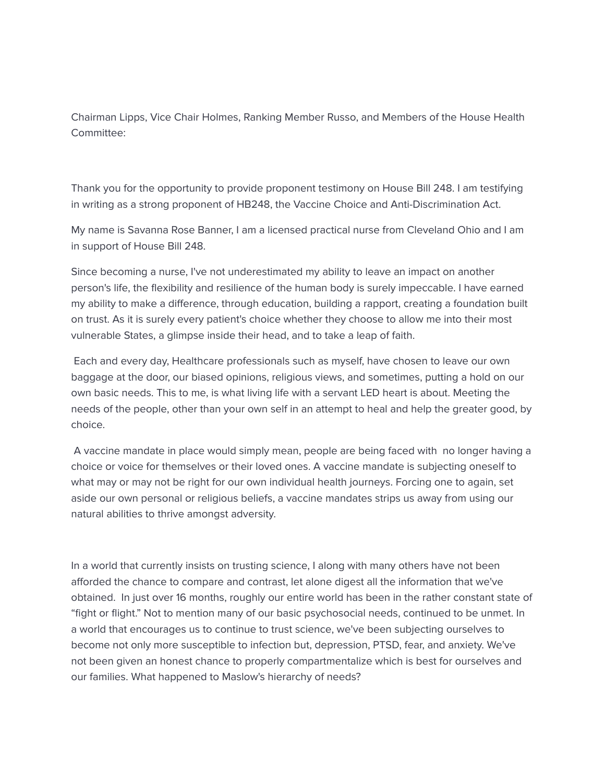Chairman Lipps, Vice Chair Holmes, Ranking Member Russo, and Members of the House Health Committee:

Thank you for the opportunity to provide proponent testimony on House Bill 248. I am testifying in writing as a strong proponent of HB248, the Vaccine Choice and Anti-Discrimination Act.

My name is Savanna Rose Banner, I am a licensed practical nurse from Cleveland Ohio and I am in support of House Bill 248.

Since becoming a nurse, I've not underestimated my ability to leave an impact on another person's life, the flexibility and resilience of the human body is surely impeccable. I have earned my ability to make a difference, through education, building a rapport, creating a foundation built on trust. As it is surely every patient's choice whether they choose to allow me into their most vulnerable States, a glimpse inside their head, and to take a leap of faith.

Each and every day, Healthcare professionals such as myself, have chosen to leave our own baggage at the door, our biased opinions, religious views, and sometimes, putting a hold on our own basic needs. This to me, is what living life with a servant LED heart is about. Meeting the needs of the people, other than your own self in an attempt to heal and help the greater good, by choice.

A vaccine mandate in place would simply mean, people are being faced with no longer having a choice or voice for themselves or their loved ones. A vaccine mandate is subjecting oneself to what may or may not be right for our own individual health journeys. Forcing one to again, set aside our own personal or religious beliefs, a vaccine mandates strips us away from using our natural abilities to thrive amongst adversity.

In a world that currently insists on trusting science, I along with many others have not been afforded the chance to compare and contrast, let alone digest all the information that we've obtained. In just over 16 months, roughly our entire world has been in the rather constant state of "fight or flight." Not to mention many of our basic psychosocial needs, continued to be unmet. In a world that encourages us to continue to trust science, we've been subjecting ourselves to become not only more susceptible to infection but, depression, PTSD, fear, and anxiety. We've not been given an honest chance to properly compartmentalize which is best for ourselves and our families. What happened to Maslow's hierarchy of needs?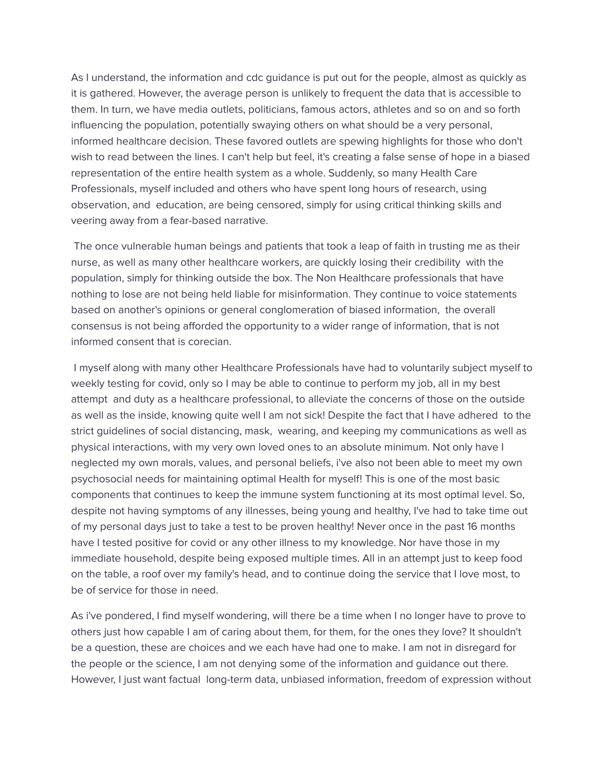As I understand, the information and cdc guidance is put out for the people, almost as quickly as it is gathered. However, the average person is unlikely to frequent the data that is accessible to them. In turn, we have media outlets, politicians, famous actors, athletes and so on and so forth influencing the population, potentially swaying others on what should be a very personal, informed healthcare decision. These favored outlets are spewing highlights for those who don't wish to read between the lines. I can't help but feel, it's creating a false sense of hope in a biased representation of the entire health system as a whole. Suddenly, so many Health Care Professionals, myself included and others who have spent long hours of research, using observation, and education, are being censored, simply for using critical thinking skills and veering away from a fear-based narrative.

The once vulnerable human beings and patients that took a leap of faith in trusting me as their nurse, as well as many other healthcare workers, are quickly losing their credibility with the population, simply for thinking outside the box. The Non Healthcare professionals that have nothing to lose are not being held liable for misinformation. They continue to voice statements based on another's opinions or general conglomeration of biased information, the overall consensus is not being afforded the opportunity to a wider range of information, that is not informed consent that is corecian.

I myself along with many other Healthcare Professionals have had to voluntarily subject myself to weekly testing for covid, only so I may be able to continue to perform my job, all in my best attempt and duty as a healthcare professional, to alleviate the concerns of those on the outside as well as the inside, knowing quite well I am not sick! Despite the fact that I have adhered to the strict guidelines of social distancing, mask, wearing, and keeping my communications as well as physical interactions, with my very own loved ones to an absolute minimum. Not only have I neglected my own morals, values, and personal beliefs, i've also not been able to meet my own psychosocial needs for maintaining optimal Health for myself! This is one of the most basic components that continues to keep the immune system functioning at its most optimal level. So, despite not having symptoms of any illnesses, being young and healthy, I've had to take time out of my personal days just to take a test to be proven healthy! Never once in the past 16 months have I tested positive for covid or any other illness to my knowledge. Nor have those in my immediate household, despite being exposed multiple times. All in an attempt just to keep food on the table, a roof over my family's head, and to continue doing the service that I love most, to be of service for those in need.

As i've pondered, I find myself wondering, will there be a time when I no longer have to prove to others just how capable I am of caring about them, for them, for the ones they love? It shouldn't be a question, these are choices and we each have had one to make. I am not in disregard for the people or the science, I am not denying some of the information and guidance out there. However, I just want factual long-term data, unbiased information, freedom of expression without